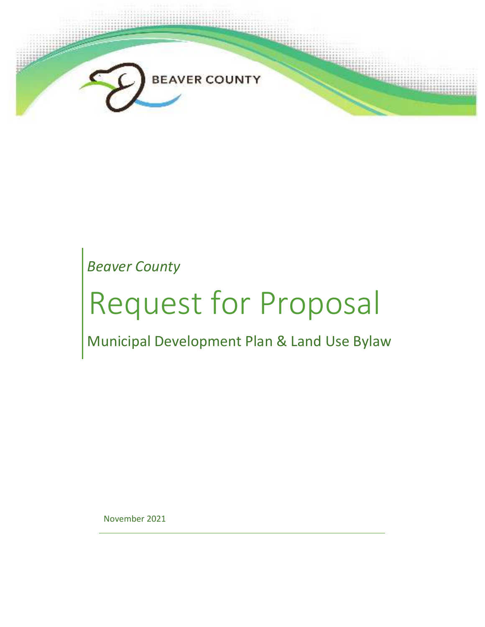

*Beaver County*

# Request for Proposal

Municipal Development Plan & Land Use Bylaw

November 2021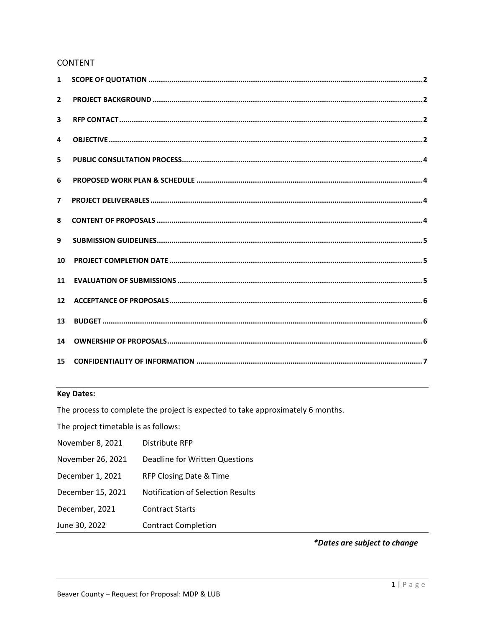# **CONTENT**

| 1                       |  |
|-------------------------|--|
| $\overline{2}$          |  |
| $\overline{\mathbf{3}}$ |  |
| 4                       |  |
| 5.                      |  |
| 6                       |  |
| $\overline{ }$          |  |
| 8                       |  |
| 9                       |  |
| 10                      |  |
| 11                      |  |
| 12                      |  |
| 13                      |  |
| 14                      |  |
| 15                      |  |

# **Key Dates:**

The process to complete the project is expected to take approximately 6 months.

The project timetable is as follows:

| November 8, 2021  | Distribute RFP                           |
|-------------------|------------------------------------------|
| November 26, 2021 | <b>Deadline for Written Questions</b>    |
| December 1, 2021  | RFP Closing Date & Time                  |
| December 15, 2021 | <b>Notification of Selection Results</b> |
| December, 2021    | <b>Contract Starts</b>                   |
| June 30, 2022     | <b>Contract Completion</b>               |

\*Dates are subject to change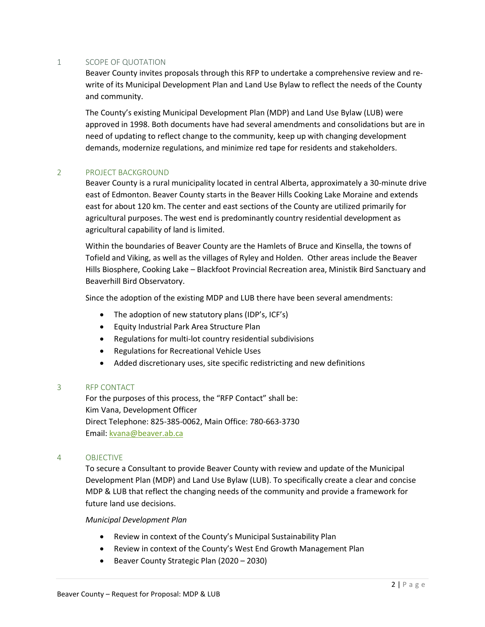#### 1 SCOPE OF QUOTATION

Beaver County invites proposals through this RFP to undertake a comprehensive review and rewrite of its Municipal Development Plan and Land Use Bylaw to reflect the needs of the County and community.

The County's existing Municipal Development Plan (MDP) and Land Use Bylaw (LUB) were approved in 1998. Both documents have had several amendments and consolidations but are in need of updating to reflect change to the community, keep up with changing development demands, modernize regulations, and minimize red tape for residents and stakeholders.

#### 2 PROJECT BACKGROUND

Beaver County is a rural municipality located in central Alberta, approximately a 30-minute drive east of Edmonton. Beaver County starts in the Beaver Hills Cooking Lake Moraine and extends east for about 120 km. The center and east sections of the County are utilized primarily for agricultural purposes. The west end is predominantly country residential development as agricultural capability of land is limited.

Within the boundaries of Beaver County are the Hamlets of Bruce and Kinsella, the towns of Tofield and Viking, as well as the villages of Ryley and Holden. Other areas include the Beaver Hills Biosphere, Cooking Lake – Blackfoot Provincial Recreation area, Ministik Bird Sanctuary and Beaverhill Bird Observatory.

Since the adoption of the existing MDP and LUB there have been several amendments:

- The adoption of new statutory plans (IDP's, ICF's)
- Equity Industrial Park Area Structure Plan
- Regulations for multi-lot country residential subdivisions
- Regulations for Recreational Vehicle Uses
- Added discretionary uses, site specific redistricting and new definitions

# 3 RFP CONTACT

 For the purposes of this process, the "RFP Contact" shall be: Kim Vana, Development Officer Direct Telephone: 825-385-0062, Main Office: 780-663-3730 Email: kvana@beaver.ab.ca

# 4 OBJECTIVE

To secure a Consultant to provide Beaver County with review and update of the Municipal Development Plan (MDP) and Land Use Bylaw (LUB). To specifically create a clear and concise MDP & LUB that reflect the changing needs of the community and provide a framework for future land use decisions.

#### *Municipal Development Plan*

- Review in context of the County's Municipal Sustainability Plan
- Review in context of the County's West End Growth Management Plan
- Beaver County Strategic Plan (2020 2030)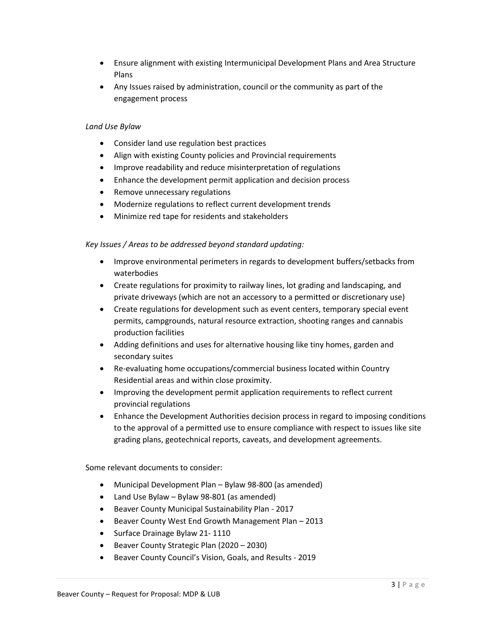- Ensure alignment with existing Intermunicipal Development Plans and Area Structure Plans
- Any Issues raised by administration, council or the community as part of the engagement process

#### *Land Use Bylaw*

- Consider land use regulation best practices
- Align with existing County policies and Provincial requirements
- Improve readability and reduce misinterpretation of regulations
- Enhance the development permit application and decision process
- Remove unnecessary regulations
- Modernize regulations to reflect current development trends
- Minimize red tape for residents and stakeholders

#### *Key Issues / Areas to be addressed beyond standard updating:*

- Improve environmental perimeters in regards to development buffers/setbacks from waterbodies
- Create regulations for proximity to railway lines, lot grading and landscaping, and private driveways (which are not an accessory to a permitted or discretionary use)
- Create regulations for development such as event centers, temporary special event permits, campgrounds, natural resource extraction, shooting ranges and cannabis production facilities
- Adding definitions and uses for alternative housing like tiny homes, garden and secondary suites
- Re-evaluating home occupations/commercial business located within Country Residential areas and within close proximity.
- Improving the development permit application requirements to reflect current provincial regulations
- Enhance the Development Authorities decision process in regard to imposing conditions to the approval of a permitted use to ensure compliance with respect to issues like site grading plans, geotechnical reports, caveats, and development agreements.

Some relevant documents to consider:

- Municipal Development Plan Bylaw 98-800 (as amended)
- Land Use Bylaw Bylaw 98-801 (as amended)
- Beaver County Municipal Sustainability Plan 2017
- Beaver County West End Growth Management Plan 2013
- Surface Drainage Bylaw 21-1110
- Beaver County Strategic Plan (2020 2030)
- Beaver County Council's Vision, Goals, and Results 2019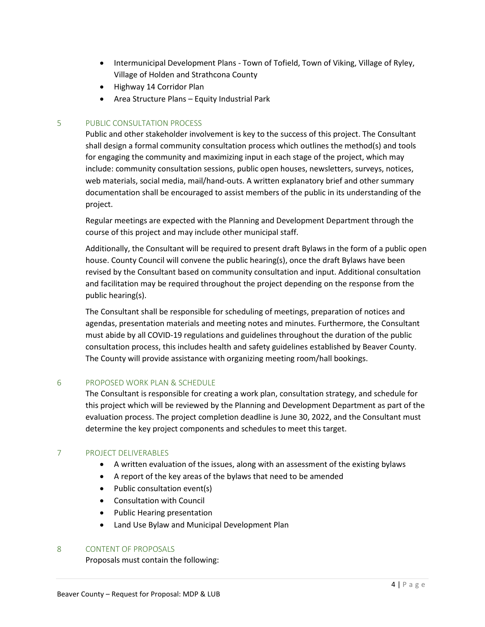- Intermunicipal Development Plans Town of Tofield, Town of Viking, Village of Ryley, Village of Holden and Strathcona County
- Highway 14 Corridor Plan
- Area Structure Plans Equity Industrial Park

# 5 PUBLIC CONSULTATION PROCESS

Public and other stakeholder involvement is key to the success of this project. The Consultant shall design a formal community consultation process which outlines the method(s) and tools for engaging the community and maximizing input in each stage of the project, which may include: community consultation sessions, public open houses, newsletters, surveys, notices, web materials, social media, mail/hand-outs. A written explanatory brief and other summary documentation shall be encouraged to assist members of the public in its understanding of the project.

Regular meetings are expected with the Planning and Development Department through the course of this project and may include other municipal staff.

Additionally, the Consultant will be required to present draft Bylaws in the form of a public open house. County Council will convene the public hearing(s), once the draft Bylaws have been revised by the Consultant based on community consultation and input. Additional consultation and facilitation may be required throughout the project depending on the response from the public hearing(s).

The Consultant shall be responsible for scheduling of meetings, preparation of notices and agendas, presentation materials and meeting notes and minutes. Furthermore, the Consultant must abide by all COVID-19 regulations and guidelines throughout the duration of the public consultation process, this includes health and safety guidelines established by Beaver County. The County will provide assistance with organizing meeting room/hall bookings.

# 6 PROPOSED WORK PLAN & SCHEDULE

The Consultant is responsible for creating a work plan, consultation strategy, and schedule for this project which will be reviewed by the Planning and Development Department as part of the evaluation process. The project completion deadline is June 30, 2022, and the Consultant must determine the key project components and schedules to meet this target.

# 7 PROJECT DELIVERABLES

- A written evaluation of the issues, along with an assessment of the existing bylaws
- A report of the key areas of the bylaws that need to be amended
- Public consultation event(s)
- Consultation with Council
- Public Hearing presentation
- Land Use Bylaw and Municipal Development Plan

#### 8 CONTENT OF PROPOSALS

Proposals must contain the following: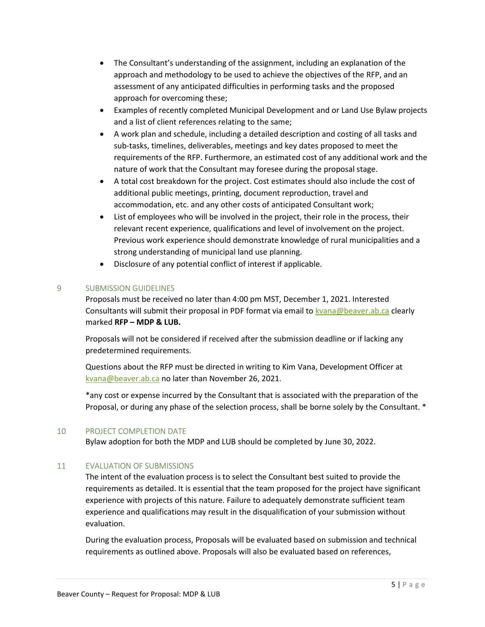- The Consultant's understanding of the assignment, including an explanation of the approach and methodology to be used to achieve the objectives of the RFP, and an assessment of any anticipated difficulties in performing tasks and the proposed approach for overcoming these;
- Examples of recently completed Municipal Development and or Land Use Bylaw projects and a list of client references relating to the same;
- A work plan and schedule, including a detailed description and costing of all tasks and sub-tasks, timelines, deliverables, meetings and key dates proposed to meet the requirements of the RFP. Furthermore, an estimated cost of any additional work and the nature of work that the Consultant may foresee during the proposal stage.
- A total cost breakdown for the project. Cost estimates should also include the cost of additional public meetings, printing, document reproduction, travel and accommodation, etc. and any other costs of anticipated Consultant work;
- List of employees who will be involved in the project, their role in the process, their relevant recent experience, qualifications and level of involvement on the project. Previous work experience should demonstrate knowledge of rural municipalities and a strong understanding of municipal land use planning.
- Disclosure of any potential conflict of interest if applicable.

# 9 SUBMISSION GUIDELINES

Proposals must be received no later than 4:00 pm MST, December 1, 2021. Interested Consultants will submit their proposal in PDF format via email to kvana@beaver.ab.ca clearly marked **RFP – MDP & LUB.** 

Proposals will not be considered if received after the submission deadline or if lacking any predetermined requirements.

Questions about the RFP must be directed in writing to Kim Vana, Development Officer at kvana@beaver.ab.ca no later than November 26, 2021.

\*any cost or expense incurred by the Consultant that is associated with the preparation of the Proposal, or during any phase of the selection process, shall be borne solely by the Consultant. \*

# 10 PROJECT COMPLETION DATE

Bylaw adoption for both the MDP and LUB should be completed by June 30, 2022.

# 11 EVALUATION OF SUBMISSIONS

The intent of the evaluation process is to select the Consultant best suited to provide the requirements as detailed. It is essential that the team proposed for the project have significant experience with projects of this nature. Failure to adequately demonstrate sufficient team experience and qualifications may result in the disqualification of your submission without evaluation.

During the evaluation process, Proposals will be evaluated based on submission and technical requirements as outlined above. Proposals will also be evaluated based on references,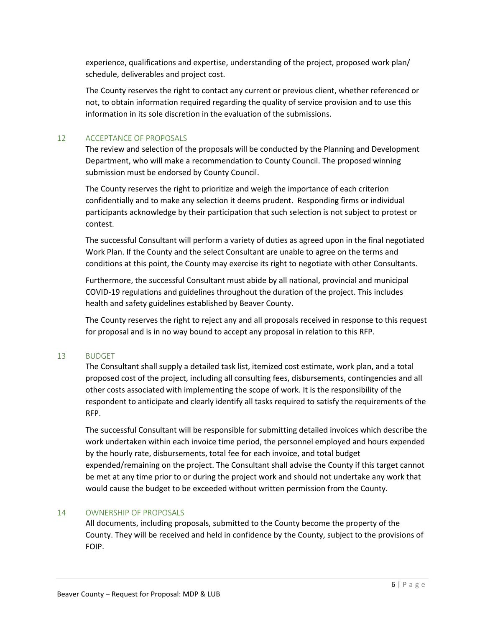experience, qualifications and expertise, understanding of the project, proposed work plan/ schedule, deliverables and project cost.

The County reserves the right to contact any current or previous client, whether referenced or not, to obtain information required regarding the quality of service provision and to use this information in its sole discretion in the evaluation of the submissions.

# 12 ACCEPTANCE OF PROPOSALS

The review and selection of the proposals will be conducted by the Planning and Development Department, who will make a recommendation to County Council. The proposed winning submission must be endorsed by County Council.

The County reserves the right to prioritize and weigh the importance of each criterion confidentially and to make any selection it deems prudent. Responding firms or individual participants acknowledge by their participation that such selection is not subject to protest or contest.

The successful Consultant will perform a variety of duties as agreed upon in the final negotiated Work Plan. If the County and the select Consultant are unable to agree on the terms and conditions at this point, the County may exercise its right to negotiate with other Consultants.

Furthermore, the successful Consultant must abide by all national, provincial and municipal COVID-19 regulations and guidelines throughout the duration of the project. This includes health and safety guidelines established by Beaver County.

The County reserves the right to reject any and all proposals received in response to this request for proposal and is in no way bound to accept any proposal in relation to this RFP.

# 13 BUDGET

The Consultant shall supply a detailed task list, itemized cost estimate, work plan, and a total proposed cost of the project, including all consulting fees, disbursements, contingencies and all other costs associated with implementing the scope of work. It is the responsibility of the respondent to anticipate and clearly identify all tasks required to satisfy the requirements of the RFP.

The successful Consultant will be responsible for submitting detailed invoices which describe the work undertaken within each invoice time period, the personnel employed and hours expended by the hourly rate, disbursements, total fee for each invoice, and total budget expended/remaining on the project. The Consultant shall advise the County if this target cannot be met at any time prior to or during the project work and should not undertake any work that would cause the budget to be exceeded without written permission from the County.

#### 14 OWNERSHIP OF PROPOSALS

All documents, including proposals, submitted to the County become the property of the County. They will be received and held in confidence by the County, subject to the provisions of FOIP.